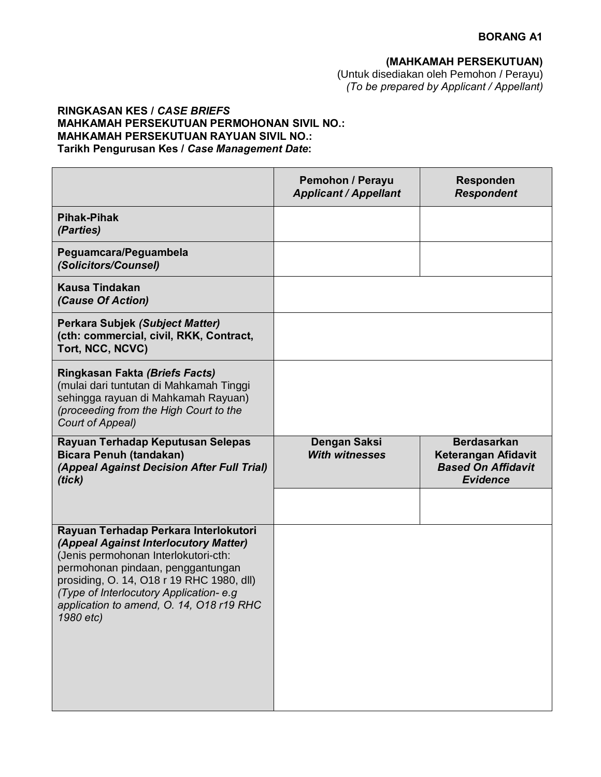## **(MAHKAMAH PERSEKUTUAN)**

(Untuk disediakan oleh Pemohon / Perayu) *(To be prepared by Applicant / Appellant)*

## **RINGKASAN KES /** *CASE BRIEFS* **MAHKAMAH PERSEKUTUAN PERMOHONAN SIVIL NO.: MAHKAMAH PERSEKUTUAN RAYUAN SIVIL NO.: Tarikh Pengurusan Kes /** *Case Management Date***:**

|                                                                                                                                                                                                                                                                                                             | <b>Pemohon / Perayu</b><br><b>Applicant / Appellant</b> | <b>Responden</b><br><b>Respondent</b>                                                     |
|-------------------------------------------------------------------------------------------------------------------------------------------------------------------------------------------------------------------------------------------------------------------------------------------------------------|---------------------------------------------------------|-------------------------------------------------------------------------------------------|
| <b>Pihak-Pihak</b><br>(Parties)                                                                                                                                                                                                                                                                             |                                                         |                                                                                           |
| Peguamcara/Peguambela<br>(Solicitors/Counsel)                                                                                                                                                                                                                                                               |                                                         |                                                                                           |
| <b>Kausa Tindakan</b><br>(Cause Of Action)                                                                                                                                                                                                                                                                  |                                                         |                                                                                           |
| <b>Perkara Subjek (Subject Matter)</b><br>(cth: commercial, civil, RKK, Contract,<br>Tort, NCC, NCVC)                                                                                                                                                                                                       |                                                         |                                                                                           |
| Ringkasan Fakta (Briefs Facts)<br>(mulai dari tuntutan di Mahkamah Tinggi<br>sehingga rayuan di Mahkamah Rayuan)<br>(proceeding from the High Court to the<br>Court of Appeal)                                                                                                                              |                                                         |                                                                                           |
| Rayuan Terhadap Keputusan Selepas<br><b>Bicara Penuh (tandakan)</b><br>(Appeal Against Decision After Full Trial)<br>(tick)                                                                                                                                                                                 | <b>Dengan Saksi</b><br><b>With witnesses</b>            | <b>Berdasarkan</b><br>Keterangan Afidavit<br><b>Based On Affidavit</b><br><b>Evidence</b> |
|                                                                                                                                                                                                                                                                                                             |                                                         |                                                                                           |
| Rayuan Terhadap Perkara Interlokutori<br>(Appeal Against Interlocutory Matter)<br>(Jenis permohonan Interlokutori-cth:<br>permohonan pindaan, penggantungan<br>prosiding, O. 14, O18 r 19 RHC 1980, dll)<br>(Type of Interlocutory Application-e.g<br>application to amend, O. 14, O18 r19 RHC<br>1980 etc) |                                                         |                                                                                           |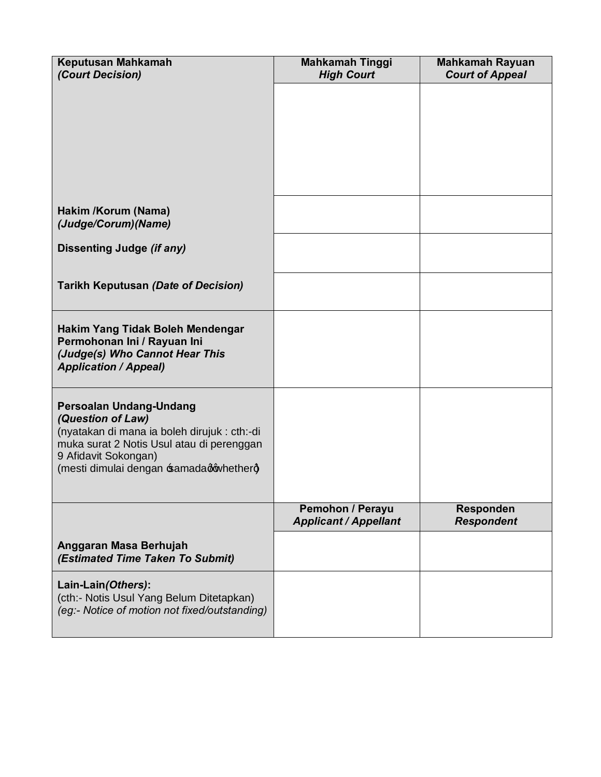| Keputusan Mahkamah<br>(Court Decision)                                                                                                                                                                       | <b>Mahkamah Tinggi</b><br><b>High Court</b>             | <b>Mahkamah Rayuan</b><br><b>Court of Appeal</b> |
|--------------------------------------------------------------------------------------------------------------------------------------------------------------------------------------------------------------|---------------------------------------------------------|--------------------------------------------------|
|                                                                                                                                                                                                              |                                                         |                                                  |
|                                                                                                                                                                                                              |                                                         |                                                  |
|                                                                                                                                                                                                              |                                                         |                                                  |
|                                                                                                                                                                                                              |                                                         |                                                  |
| Hakim /Korum (Nama)<br>(Judge/Corum) (Name)                                                                                                                                                                  |                                                         |                                                  |
| Dissenting Judge (if any)                                                                                                                                                                                    |                                                         |                                                  |
| <b>Tarikh Keputusan (Date of Decision)</b>                                                                                                                                                                   |                                                         |                                                  |
| Hakim Yang Tidak Boleh Mendengar<br>Permohonan Ini / Rayuan Ini<br>(Judge(s) Who Cannot Hear This<br><b>Application / Appeal)</b>                                                                            |                                                         |                                                  |
| Persoalan Undang-Undang<br>(Question of Law)<br>(nyatakan di mana ia boleh dirujuk : cth:-di<br>muka surat 2 Notis Usul atau di perenggan<br>9 Afidavit Sokongan)<br>(mesti dimulai dengan samadadqwhetherg) |                                                         |                                                  |
|                                                                                                                                                                                                              | <b>Pemohon / Perayu</b><br><b>Applicant / Appellant</b> | <b>Responden</b><br><b>Respondent</b>            |
| Anggaran Masa Berhujah<br>(Estimated Time Taken To Submit)                                                                                                                                                   |                                                         |                                                  |
| Lain-Lain(Others):<br>(cth:- Notis Usul Yang Belum Ditetapkan)<br>(eg:- Notice of motion not fixed/outstanding)                                                                                              |                                                         |                                                  |